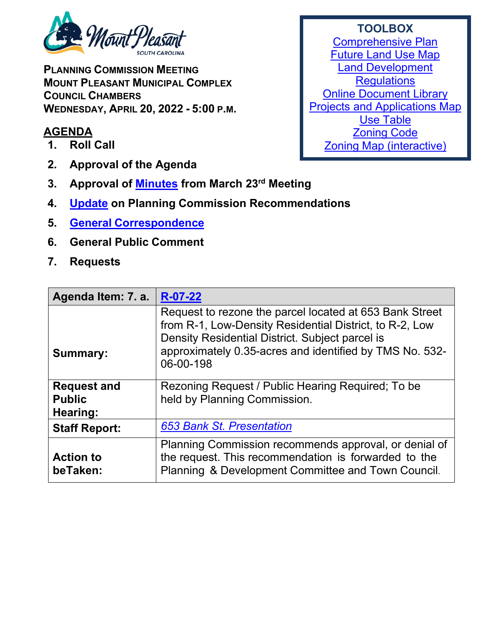

**PLANNING COMMISSION MEETING MOUNT PLEASANT MUNICIPAL COMPLEX COUNCIL CHAMBERS WEDNESDAY, APRIL 20, 2022 - 5:00 P.M.** 

## **AGENDA**

- **1. Roll Call**
- **2. Approval of the Agenda**
- **3. Approval of [Minutes](https://www.tompsc.com/DocumentCenter/View/41307/Plan-Comsn-min-23-Mar-2022_exppdf) from March 23rd Meeting**
- **4. [Update](https://www.tompsc.com/DocumentCenter/View/41308/April-TOWN-COUNCIL-DECISIONS) on Planning Commission Recommendations**
- **5. General [Correspondence](https://www.tompsc.com/DocumentCenter/View/41309/Correspondence-)**
- **6. General Public Comment**
- **7. Requests**

| Agenda Item: 7. a.                              | $R-07-22$                                                                                                                                                                                                                                     |
|-------------------------------------------------|-----------------------------------------------------------------------------------------------------------------------------------------------------------------------------------------------------------------------------------------------|
| <b>Summary:</b>                                 | Request to rezone the parcel located at 653 Bank Street<br>from R-1, Low-Density Residential District, to R-2, Low<br>Density Residential District. Subject parcel is<br>approximately 0.35-acres and identified by TMS No. 532-<br>06-00-198 |
| <b>Request and</b><br><b>Public</b><br>Hearing: | Rezoning Request / Public Hearing Required; To be<br>held by Planning Commission.                                                                                                                                                             |
| <b>Staff Report:</b>                            | <b>653 Bank St. Presentation</b>                                                                                                                                                                                                              |
| <b>Action to</b><br>beTaken:                    | Planning Commission recommends approval, or denial of<br>the request. This recommendation is forwarded to the<br>Planning & Development Committee and Town Council.                                                                           |

## **TOOLBOX** [Comprehensive Plan](https://www.tompsc.com/565/Comprehensive-Plan) [Future Land Use Map](https://www.tompsc.com/DocumentCenter/View/35351/Future-Land-Use) [Land Development](https://codelibrary.amlegal.com/codes/mtpleasantsc/latest/mpleasant_sc/0-0-0-119055)  **[Regulations](https://codelibrary.amlegal.com/codes/mtpleasantsc/latest/mpleasant_sc/0-0-0-119055)**

[Online Document Library](http://www.tompsc.com/index.aspx?NID=388) [Projects and Applications Map](http://www.tompsc.com/index.aspx?nid=472) [Use Table](https://export.amlegal.com/media/cdf2043fcc7714d3258baf1857df78de1aeb6667/DATAOBJECTS/0-0-0-10726.pdf) [Zoning Code](https://codelibrary.amlegal.com/codes/mtpleasantsc/latest/mpleasant_sc/0-0-0-120001) [Zoning Map \(interactive\)](https://tomp.maps.arcgis.com/apps/webappviewer/index.html?id=786bb2a435e54f479b12fb2db31b473d)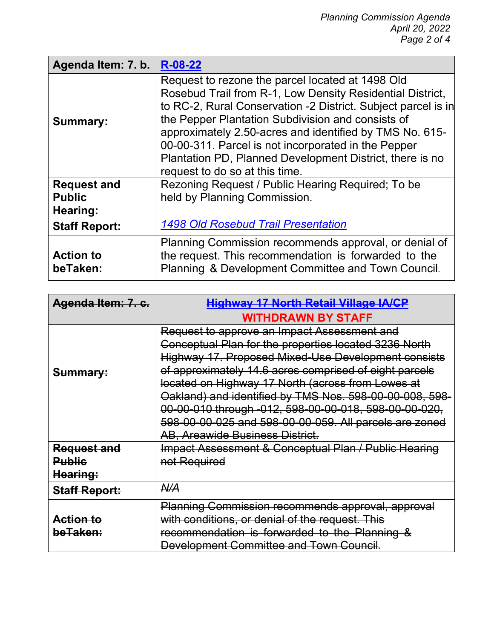| Agenda Item: 7. b.           | R-08-22                                                                                                                                                                                                                                                                                                                                                                                                                                             |
|------------------------------|-----------------------------------------------------------------------------------------------------------------------------------------------------------------------------------------------------------------------------------------------------------------------------------------------------------------------------------------------------------------------------------------------------------------------------------------------------|
| <b>Summary:</b>              | Request to rezone the parcel located at 1498 Old<br>Rosebud Trail from R-1, Low Density Residential District,<br>to RC-2, Rural Conservation -2 District. Subject parcel is in<br>the Pepper Plantation Subdivision and consists of<br>approximately 2.50-acres and identified by TMS No. 615-<br>00-00-311. Parcel is not incorporated in the Pepper<br>Plantation PD, Planned Development District, there is no<br>request to do so at this time. |
| <b>Request and</b>           | Rezoning Request / Public Hearing Required; To be                                                                                                                                                                                                                                                                                                                                                                                                   |
| <b>Public</b><br>Hearing:    | held by Planning Commission.                                                                                                                                                                                                                                                                                                                                                                                                                        |
| <b>Staff Report:</b>         | <b>1498 Old Rosebud Trail Presentation</b>                                                                                                                                                                                                                                                                                                                                                                                                          |
| <b>Action to</b><br>beTaken: | Planning Commission recommends approval, or denial of<br>the request. This recommendation is forwarded to the<br>Planning & Development Committee and Town Council.                                                                                                                                                                                                                                                                                 |

| Agenda Item: 7. c.   | <b>Highway 17 North Retail Village IA/CP</b>             |
|----------------------|----------------------------------------------------------|
|                      | <b>WITHDRAWN BY STAFF</b>                                |
| Summary:             | Request to approve an Impact Assessment and              |
|                      | Conceptual Plan for the properties located 3236 North    |
|                      | Highway 17. Proposed Mixed-Use Development consists      |
|                      | of approximately 14.6 acres comprised of eight parcels   |
|                      | located on Highway 17 North (across from Lowes at        |
|                      | Oakland) and identified by TMS Nos. 598-00-00-008, 598-  |
|                      | 00-00-010 through -012, 598-00-00-018, 598-00-00-020,    |
|                      | 598-00-00-025 and 598-00-00-059. All parcels are zoned   |
|                      | <b>AB, Areawide Business District.</b>                   |
| <b>Request and</b>   | Impact Assessment & Conceptual Plan / Public Hearing     |
| <b>Public</b>        | not Required                                             |
| Hearing:             |                                                          |
| <b>Staff Report:</b> | A/4                                                      |
|                      | <b>Planning Commission recommends approval, approval</b> |
| <u>Action to</u>     | with conditions, or denial of the request. This          |
| beTaken:             | recommendation is forwarded to the Planning &            |
|                      | Development Committee and Town Council.                  |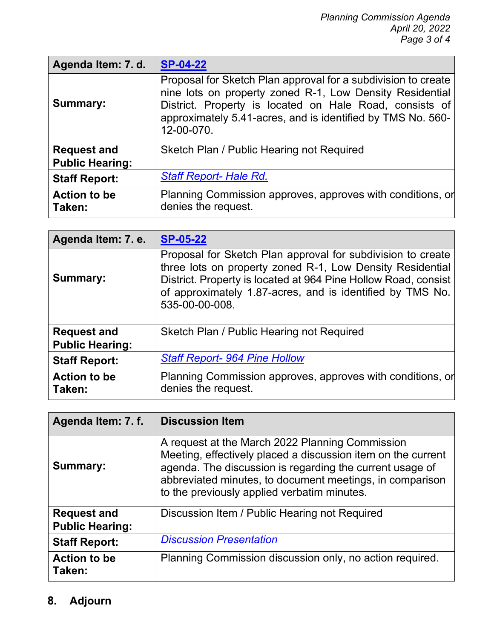| Agenda Item: 7. d.                           | <b>SP-04-22</b>                                                                                                                                                                                                                                                   |
|----------------------------------------------|-------------------------------------------------------------------------------------------------------------------------------------------------------------------------------------------------------------------------------------------------------------------|
| <b>Summary:</b>                              | Proposal for Sketch Plan approval for a subdivision to create<br>nine lots on property zoned R-1, Low Density Residential<br>District. Property is located on Hale Road, consists of<br>approximately 5.41-acres, and is identified by TMS No. 560-<br>12-00-070. |
| <b>Request and</b><br><b>Public Hearing:</b> | Sketch Plan / Public Hearing not Required                                                                                                                                                                                                                         |
| <b>Staff Report:</b>                         | <b>Staff Report- Hale Rd.</b>                                                                                                                                                                                                                                     |
| <b>Action to be</b><br>Taken:                | Planning Commission approves, approves with conditions, or<br>denies the request.                                                                                                                                                                                 |

| Agenda Item: 7. e.                           | <b>SP-05-22</b>                                                                                                                                                                                                                                                           |
|----------------------------------------------|---------------------------------------------------------------------------------------------------------------------------------------------------------------------------------------------------------------------------------------------------------------------------|
| <b>Summary:</b>                              | Proposal for Sketch Plan approval for subdivision to create<br>three lots on property zoned R-1, Low Density Residential<br>District. Property is located at 964 Pine Hollow Road, consist<br>of approximately 1.87-acres, and is identified by TMS No.<br>535-00-00-008. |
| <b>Request and</b><br><b>Public Hearing:</b> | Sketch Plan / Public Hearing not Required                                                                                                                                                                                                                                 |
| <b>Staff Report:</b>                         | <b>Staff Report-964 Pine Hollow</b>                                                                                                                                                                                                                                       |
| <b>Action to be</b><br>Taken:                | Planning Commission approves, approves with conditions, or<br>denies the request.                                                                                                                                                                                         |

| Agenda Item: 7. f.                           | <b>Discussion Item</b>                                                                                                                                                                                                                                                                 |
|----------------------------------------------|----------------------------------------------------------------------------------------------------------------------------------------------------------------------------------------------------------------------------------------------------------------------------------------|
| <b>Summary:</b>                              | A request at the March 2022 Planning Commission<br>Meeting, effectively placed a discussion item on the current<br>agenda. The discussion is regarding the current usage of<br>abbreviated minutes, to document meetings, in comparison<br>to the previously applied verbatim minutes. |
| <b>Request and</b><br><b>Public Hearing:</b> | Discussion Item / Public Hearing not Required                                                                                                                                                                                                                                          |
| <b>Staff Report:</b>                         | <b>Discussion Presentation</b>                                                                                                                                                                                                                                                         |
| <b>Action to be</b><br>Taken:                | Planning Commission discussion only, no action required.                                                                                                                                                                                                                               |

## **8. Adjourn**